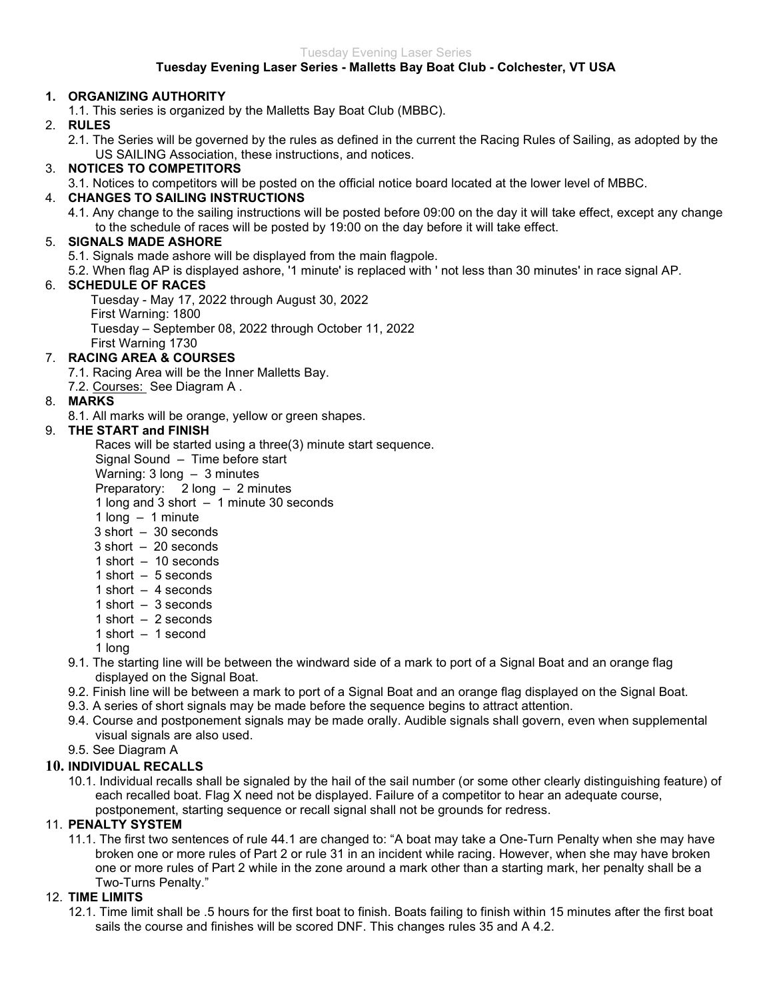# Tuesday Evening Laser Series - Malletts Bay Boat Club - Colchester, VT USA

# 1. ORGANIZING AUTHORITY

1.1. This series is organized by the Malletts Bay Boat Club (MBBC).

### 2. RULES

2.1. The Series will be governed by the rules as defined in the current the Racing Rules of Sailing, as adopted by the US SAILING Association, these instructions, and notices.

## 3. NOTICES TO COMPETITORS

3.1. Notices to competitors will be posted on the official notice board located at the lower level of MBBC.

## 4. CHANGES TO SAILING INSTRUCTIONS

4.1. Any change to the sailing instructions will be posted before 09:00 on the day it will take effect, except any change to the schedule of races will be posted by 19:00 on the day before it will take effect.

### 5. SIGNALS MADE ASHORE

5.1. Signals made ashore will be displayed from the main flagpole.

5.2. When flag AP is displayed ashore, '1 minute' is replaced with ' not less than 30 minutes' in race signal AP.

## 6. SCHEDULE OF RACES

Tuesday - May 17, 2022 through August 30, 2022 First Warning: 1800 Tuesday – September 08, 2022 through October 11, 2022 First Warning 1730

# 7. RACING AREA & COURSES

7.1. Racing Area will be the Inner Malletts Bay.

7.2. Courses: See Diagram A .

## 8. MARKS

8.1. All marks will be orange, yellow or green shapes.

## 9. THE START and FINISH

Races will be started using a three(3) minute start sequence.

Signal Sound – Time before start

Warning: 3 long – 3 minutes

Preparatory: 2 long – 2 minutes

1 long and 3 short – 1 minute 30 seconds

- 1 long 1 minute
- $3 \text{ short} 30 \text{ seconds}$
- 3 short 20 seconds
- 1 short 10 seconds
- 1 short 5 seconds
- 1 short 4 seconds
- 1 short 3 seconds
- 1 short 2 seconds
- 1 short 1 second
- 1 long
- 9.1. The starting line will be between the windward side of a mark to port of a Signal Boat and an orange flag displayed on the Signal Boat.
- 9.2. Finish line will be between a mark to port of a Signal Boat and an orange flag displayed on the Signal Boat.
- 9.3. A series of short signals may be made before the sequence begins to attract attention.
- 9.4. Course and postponement signals may be made orally. Audible signals shall govern, even when supplemental visual signals are also used.
- 9.5. See Diagram A

#### 10. INDIVIDUAL RECALLS

10.1. Individual recalls shall be signaled by the hail of the sail number (or some other clearly distinguishing feature) of each recalled boat. Flag X need not be displayed. Failure of a competitor to hear an adequate course, postponement, starting sequence or recall signal shall not be grounds for redress.

#### 11. PENALTY SYSTEM

11.1. The first two sentences of rule 44.1 are changed to: "A boat may take a One-Turn Penalty when she may have broken one or more rules of Part 2 or rule 31 in an incident while racing. However, when she may have broken one or more rules of Part 2 while in the zone around a mark other than a starting mark, her penalty shall be a Two-Turns Penalty."

# 12. TIME LIMITS

12.1. Time limit shall be .5 hours for the first boat to finish. Boats failing to finish within 15 minutes after the first boat sails the course and finishes will be scored DNF. This changes rules 35 and A 4.2.